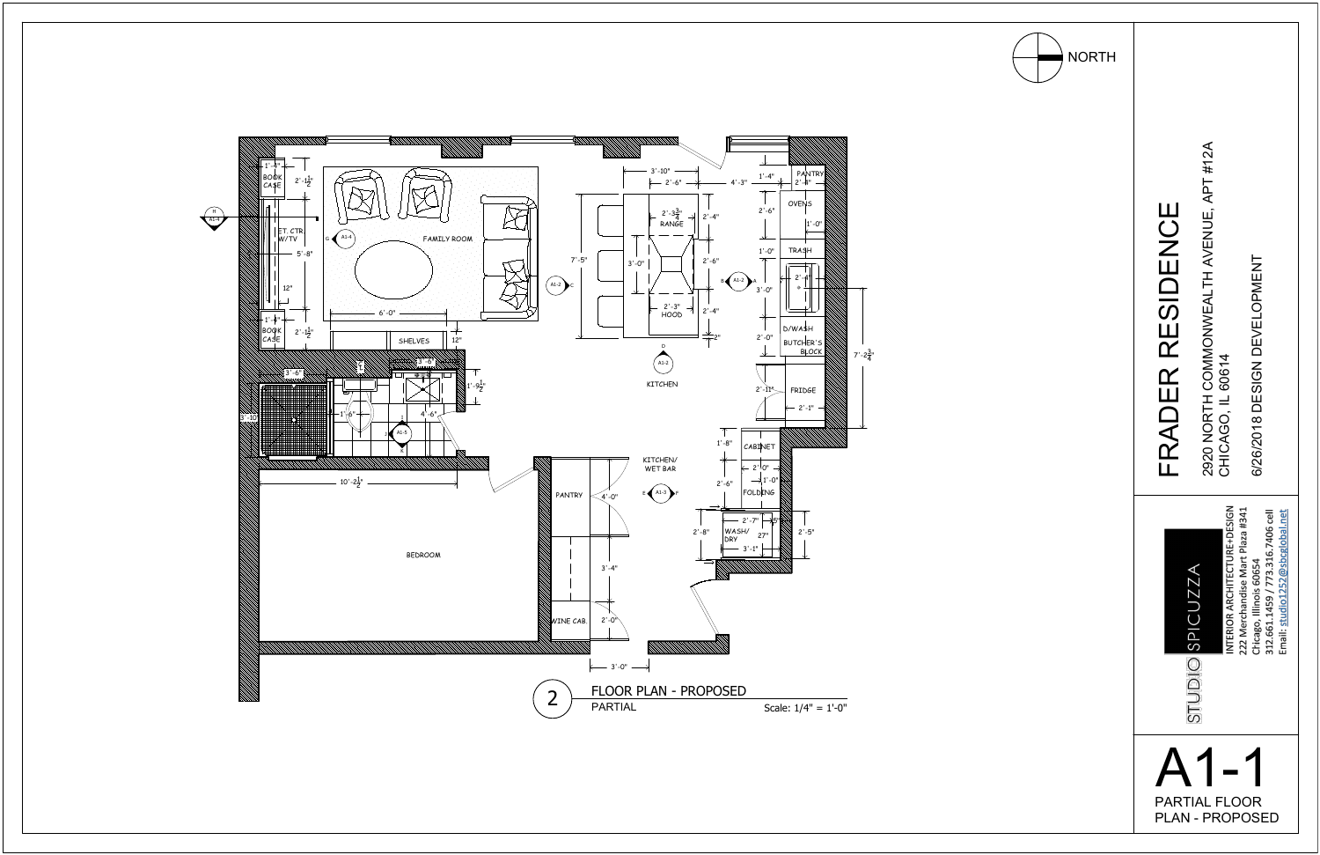

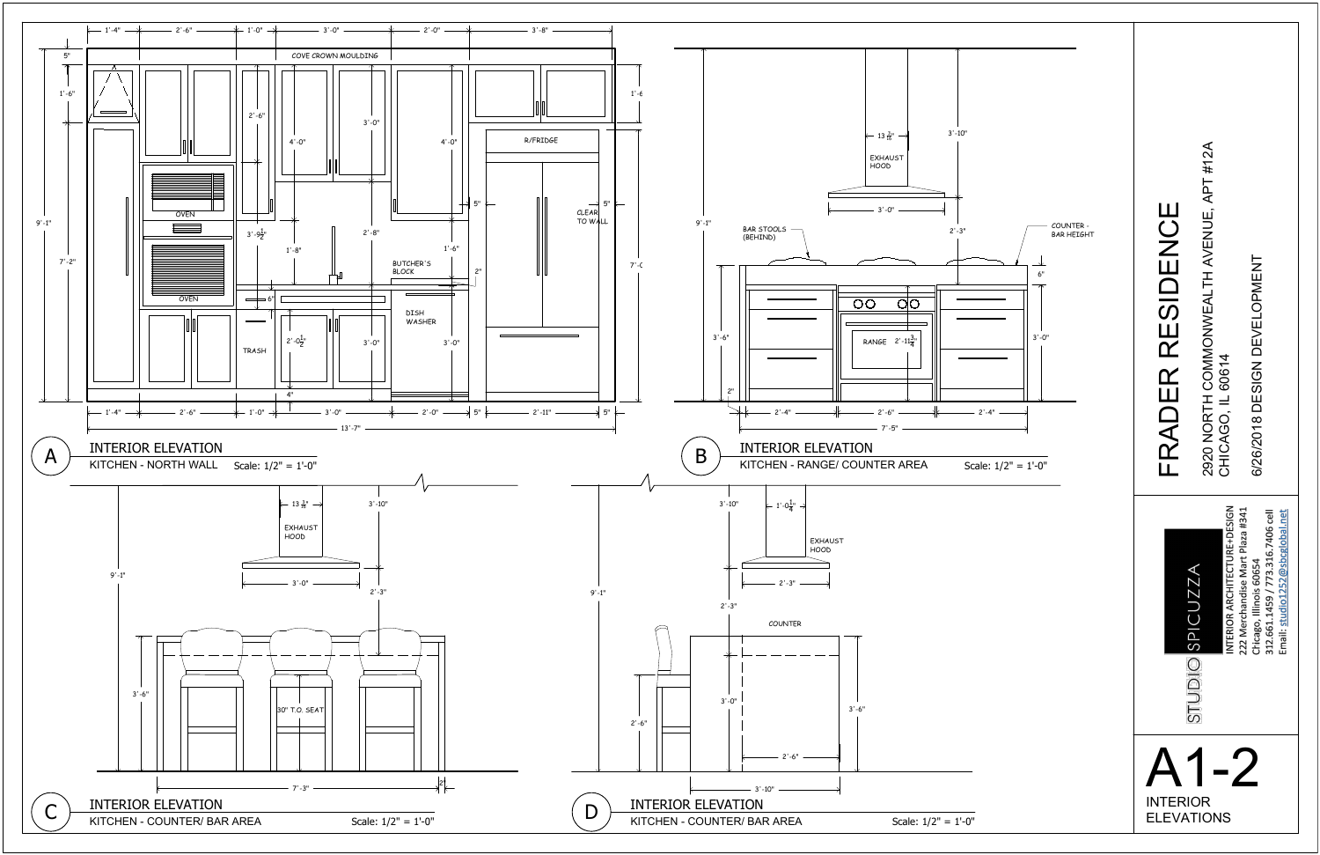